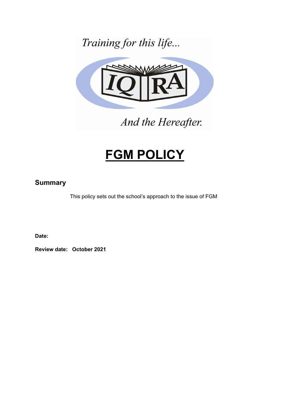Training for this life...



And the Hereafter.

# **FGM POLICY**

### **Summary**

This policy sets out the school's approach to the issue of FGM

**Date:**

**Review date: October 2021**